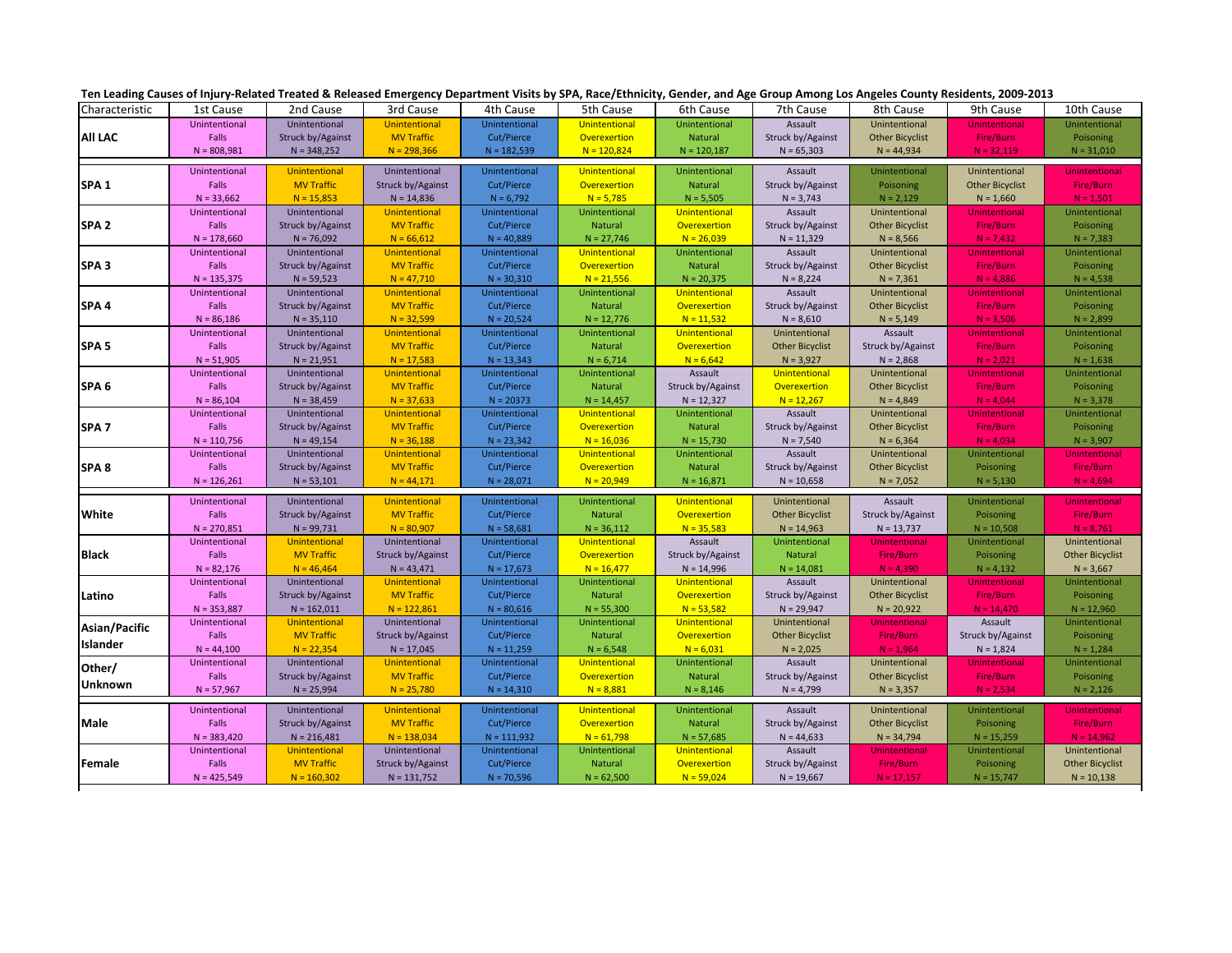| Characteristic   | 1st Cause     | 2nd Cause            | 3rd Cause            | 4th Cause     | 5th Cause            | 6th Cause            | 7th Cause                | 8th Cause              | 9th Cause              | 10th Cause             |
|------------------|---------------|----------------------|----------------------|---------------|----------------------|----------------------|--------------------------|------------------------|------------------------|------------------------|
|                  | Unintentional | Unintentional        | <b>Unintentional</b> | Unintentional | Unintentional        | Unintentional        | Assault                  | Unintentional          | <b>Unintentional</b>   | Unintentional          |
| All LAC          | Falls         | Struck by/Against    | <b>MV Traffic</b>    | Cut/Pierce    | Overexertion         | Natural              | Struck by/Against        | <b>Other Bicyclist</b> | Fire/Burn              | Poisoning              |
|                  | $N = 808,981$ | $N = 348,252$        | $N = 298,366$        | $N = 182,539$ | $N = 120,824$        | $N = 120,187$        | $N = 65,303$             | $N = 44,934$           | $N = 32,119$           | $N = 31,010$           |
|                  |               |                      |                      |               |                      |                      |                          |                        |                        |                        |
|                  | Unintentional | <b>Unintentional</b> | Unintentional        | Unintentional | Unintentional        | Unintentional        | Assault                  | Unintentional          | Unintentional          | <b>Unintentional</b>   |
| SPA <sub>1</sub> | Falls         | <b>MV Traffic</b>    | Struck by/Against    | Cut/Pierce    | Overexertion         | Natural              | Struck by/Against        | Poisoning              | <b>Other Bicyclist</b> | Fire/Burn              |
|                  | $N = 33,662$  | $N = 15,853$         | $N = 14,836$         | $N = 6,792$   | $N = 5,785$          | $N = 5,505$          | $N = 3,743$              | $N = 2,129$            | $N = 1,660$            | $N = 1,501$            |
| SPA <sub>2</sub> | Unintentional | Unintentional        | Unintentional        | Unintentional | Unintentional        | Unintentional        | Assault                  | Unintentional          | Unintentional          | Unintentional          |
|                  | Falls         | Struck by/Against    | <b>MV Traffic</b>    | Cut/Pierce    | Natural              | Overexertion         | Struck by/Against        | <b>Other Bicyclist</b> | Fire/Burn              | Poisoning              |
|                  | $N = 178,660$ | $N = 76,092$         | $N = 66,612$         | $N = 40,889$  | $N = 27,746$         | $N = 26,039$         | $N = 11,329$             | $N = 8,566$            | $N = 7,432$            | $N = 7,383$            |
| SPA <sub>3</sub> | Unintentional | Unintentional        | Unintentional        | Unintentional | <b>Unintentional</b> | Unintentional        | Assault                  | Unintentional          | <b>Unintentional</b>   | Unintentional          |
|                  | Falls         | Struck by/Against    | <b>MV Traffic</b>    | Cut/Pierce    | Overexertion         | Natural              | Struck by/Against        | <b>Other Bicyclist</b> | Fire/Burn              | Poisoning              |
|                  | $N = 135,375$ | $N = 59,523$         | $N = 47,710$         | $N = 30,310$  | $N = 21,556$         | $N = 20,375$         | $N = 8,224$              | $N = 7,361$            | $N = 4,886$            | $N = 4,538$            |
|                  | Unintentional | Unintentional        | Unintentional        | Unintentional | Unintentional        | Unintentional        | Assault                  | Unintentional          | Unintentional          | Unintentional          |
| SPA <sub>4</sub> | Falls         | Struck by/Against    | <b>MV Traffic</b>    | Cut/Pierce    | Natural              | Overexertion         | Struck by/Against        | <b>Other Bicyclist</b> | Fire/Burn              | Poisoning              |
|                  | $N = 86,186$  | $N = 35,110$         | $N = 32,599$         | $N = 20,524$  | $N = 12,776$         | $N = 11,532$         | $N = 8,610$              | $N = 5,149$            | $N = 3,506$            | $N = 2,899$            |
|                  | Unintentional | Unintentional        | Unintentional        | Unintentional | Unintentional        | <b>Unintentional</b> | Unintentional            | Assault                | <b>Unintentional</b>   | Unintentional          |
| SPA <sub>5</sub> | Falls         | Struck by/Against    | <b>MV Traffic</b>    | Cut/Pierce    | Natural              | Overexertion         | <b>Other Bicyclist</b>   | Struck by/Against      | Fire/Burn              | Poisoning              |
|                  | $N = 51,905$  | $N = 21,951$         | $N = 17,583$         | $N = 13,343$  | $N = 6,714$          | $N = 6,642$          | $N = 3,927$              | $N = 2,868$            | $N = 2,021$            | $N = 1,638$            |
|                  | Unintentional | Unintentional        | Unintentional        | Unintentional | Unintentional        | Assault              | Unintentional            | Unintentional          | <b>Unintentional</b>   | Unintentional          |
|                  | Falls         |                      | <b>MV Traffic</b>    | Cut/Pierce    | Natural              |                      | Overexertion             |                        | Fire/Burn              |                        |
| SPA <sub>6</sub> |               | Struck by/Against    |                      |               |                      | Struck by/Against    |                          | <b>Other Bicyclist</b> |                        | Poisoning              |
|                  | $N = 86,104$  | $N = 38,459$         | $N = 37,633$         | $N = 20373$   | $N = 14,457$         | $N = 12,327$         | $N = 12,267$             | $N = 4,849$            | $N = 4,044$            | $N = 3,378$            |
|                  | Unintentional | Unintentional        | Unintentional        | Unintentional | Unintentional        | Unintentional        | Assault                  | Unintentional          | <b>Unintentional</b>   | Unintentional          |
| SPA <sub>7</sub> | Falls         | Struck by/Against    | <b>MV Traffic</b>    | Cut/Pierce    | Overexertion         | Natural              | Struck by/Against        | <b>Other Bicyclist</b> | Fire/Burn              | Poisoning              |
|                  | $N = 110,756$ | $N = 49,154$         | $N = 36,188$         | $N = 23,342$  | $N = 16,036$         | $N = 15,730$         | $N = 7,540$              | $N = 6,364$            | $N = 4,034$            | $N = 3,907$            |
|                  | Unintentional | Unintentional        | Unintentional        | Unintentional | <b>Unintentional</b> | Unintentional        | Assault                  | Unintentional          | Unintentional          | <b>Unintentiona</b>    |
| SPA 8            | Falls         | Struck by/Against    | <b>MV Traffic</b>    | Cut/Pierce    | Overexertion         | Natural              | Struck by/Against        | <b>Other Bicyclist</b> | Poisoning              | Fire/Burn              |
|                  | $N = 126,261$ | $N = 53,101$         | $N = 44,171$         | $N = 28,071$  | $N = 20,949$         | $N = 16,871$         | $N = 10,658$             | $N = 7,052$            | $N = 5,130$            | $N = 4,694$            |
|                  | Unintentional | Unintentional        | Unintentional        | Unintentional | Unintentional        | <b>Unintentional</b> | Unintentional            | Assault                | Unintentional          | <b>Unintentional</b>   |
| White            | Falls         | Struck by/Against    | <b>MV Traffic</b>    | Cut/Pierce    | Natural              | <b>Overexertion</b>  | <b>Other Bicyclist</b>   | Struck by/Against      | Poisoning              | Fire/Burn              |
|                  | $N = 270,851$ | $N = 99,731$         | $N = 80,907$         | $N = 58,681$  | $N = 36,112$         | $N = 35,583$         | $N = 14,963$             | $N = 13,737$           | $N = 10,508$           | $N = 8,761$            |
|                  | Unintentional | Unintentional        | Unintentional        | Unintentional | Unintentional        | Assault              | Unintentional            | <b>Unintentional</b>   | Unintentional          | Unintentional          |
| <b>Black</b>     | Falls         | <b>MV Traffic</b>    | Struck by/Against    | Cut/Pierce    | Overexertion         | Struck by/Against    | Natural                  | Fire/Burn              | Poisoning              | <b>Other Bicyclist</b> |
|                  | $N = 82,176$  | $N = 46,464$         | $N = 43,471$         | $N = 17,673$  | $N = 16,477$         | $N = 14,996$         | $N = 14,081$             | $N = 4,390$            | $N = 4,132$            | $N = 3,667$            |
|                  | Unintentional | Unintentional        | <b>Unintentional</b> | Unintentional | Unintentional        | <b>Unintentional</b> | Assault                  | Unintentional          | Unintentional          | Unintentional          |
| Latino           | Falls         | Struck by/Against    | <b>MV Traffic</b>    | Cut/Pierce    | Natural              | <b>Overexertion</b>  | <b>Struck by/Against</b> | <b>Other Bicyclist</b> | Fire/Burn              | Poisoning              |
|                  | $N = 353,887$ | $N = 162,011$        | $N = 122,861$        | $N = 80,616$  | $N = 55,300$         | $N = 53,582$         | $N = 29,947$             | $N = 20,922$           | $N = 14,470$           | $N = 12,960$           |
|                  | Unintentional | <b>Unintentional</b> | Unintentional        | Unintentional | Unintentional        | <b>Unintentional</b> | Unintentional            | <b>Unintentional</b>   | Assault                | Unintentional          |
| Asian/Pacific    | Falls         | <b>MV Traffic</b>    | Struck by/Against    | Cut/Pierce    | Natural              | Overexertion         | <b>Other Bicyclist</b>   | Fire/Burn              | Struck by/Against      | Poisoning              |
| Islander         | $N = 44,100$  | $N = 22,354$         | $N = 17,045$         | $N = 11,259$  | $N = 6,548$          | $N = 6,031$          | $N = 2,025$              | $N = 1,964$            | $N = 1,824$            | $N = 1,284$            |
|                  |               |                      |                      |               |                      |                      |                          |                        |                        |                        |
| Other/           | Unintentional | Unintentional        | Unintentional        | Unintentional | Unintentional        | Unintentional        | Assault                  | Unintentional          | <b>Unintentional</b>   | Unintentional          |
| <b>Unknown</b>   | Falls         | Struck by/Against    | <b>MV Traffic</b>    | Cut/Pierce    | Overexertion         | Natural              | Struck by/Against        | <b>Other Bicyclist</b> | Fire/Burn              | Poisoning              |
|                  | $N = 57,967$  | $N = 25,994$         | $N = 25,780$         | $N = 14,310$  | $N = 8,881$          | $N = 8,146$          | $N = 4,799$              | $N = 3,357$            | $N = 2,534$            | $N = 2,126$            |
|                  | Unintentional | Unintentional        | Unintentional        | Unintentional | Unintentional        | Unintentional        | Assault                  | Unintentional          | Unintentional          | Unintentional          |
| Male             | Falls         | Struck by/Against    | <b>MV Traffic</b>    | Cut/Pierce    | Overexertion         | Natural              | Struck by/Against        | <b>Other Bicyclist</b> | Poisoning              | Fire/Burn              |
|                  | $N = 383,420$ | $N = 216,481$        | $N = 138,034$        | $N = 111,932$ | $N = 61,798$         | $N = 57,685$         | $N = 44,633$             | $N = 34,794$           | $N = 15,259$           | $N = 14,962$           |
|                  | Unintentional | <b>Unintentional</b> | Unintentional        | Unintentional | Unintentional        | <b>Unintentional</b> | Assault                  | <b>Unintentional</b>   | Unintentional          | Unintentional          |
| Female           | Falls         | <b>MV Traffic</b>    | Struck by/Against    | Cut/Pierce    | Natural              | <b>Overexertion</b>  | Struck by/Against        | Fire/Burn              | Poisoning              | <b>Other Bicyclist</b> |
|                  | $N = 425,549$ | $N = 160,302$        | $N = 131,752$        | $N = 70,596$  | $N = 62,500$         | $N = 59,024$         | $N = 19,667$             | $N = 17,157$           | $N = 15,747$           | $N = 10,138$           |

Г

Ten Leading Causes of Injury-Related Treated & Released Emergency Department Visits by SPA, Race/Ethnicity, Gender, and Age Group Among Los Angeles County Residents, 2009-2013